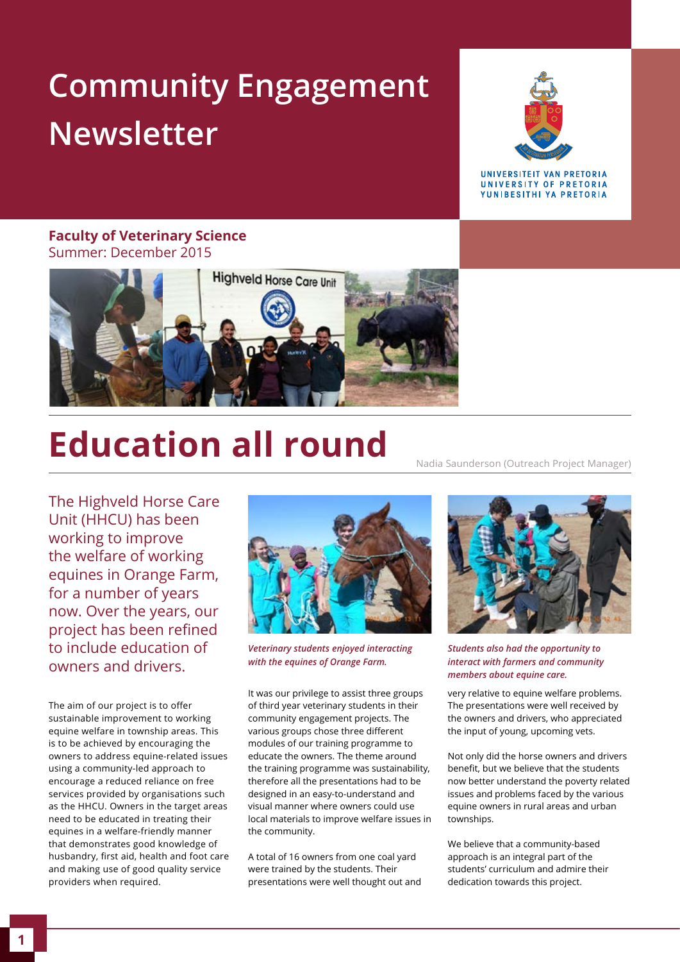# **Community Engagement Newsletter**



**IINIVERSITEIT VAN PRETORIA** UNIVERSITY OF PRETORIA YUNIBESITHI YA PRETORIA

#### **Faculty of Veterinary Science**  Summer: December 2015



# **Education all round**

The Highveld Horse Care Unit (HHCU) has been working to improve the welfare of working equines in Orange Farm, for a number of years now. Over the years, our project has been refined to include education of owners and drivers.

The aim of our project is to offer sustainable improvement to working equine welfare in township areas. This is to be achieved by encouraging the owners to address equine-related issues using a community-led approach to encourage a reduced reliance on free services provided by organisations such as the HHCU. Owners in the target areas need to be educated in treating their equines in a welfare-friendly manner that demonstrates good knowledge of husbandry, first aid, health and foot care and making use of good quality service providers when required.



*Veterinary students enjoyed interacting with the equines of Orange Farm.*

It was our privilege to assist three groups of third year veterinary students in their community engagement projects. The various groups chose three different modules of our training programme to educate the owners. The theme around the training programme was sustainability, therefore all the presentations had to be designed in an easy-to-understand and visual manner where owners could use local materials to improve welfare issues in the community.

A total of 16 owners from one coal yard were trained by the students. Their presentations were well thought out and



Nadia Saunderson (Outreach Project Manager)

*Students also had the opportunity to interact with farmers and community members about equine care.*

very relative to equine welfare problems. The presentations were well received by the owners and drivers, who appreciated the input of young, upcoming vets.

Not only did the horse owners and drivers benefit, but we believe that the students now better understand the poverty related issues and problems faced by the various equine owners in rural areas and urban townships.

We believe that a community-based approach is an integral part of the students' curriculum and admire their dedication towards this project.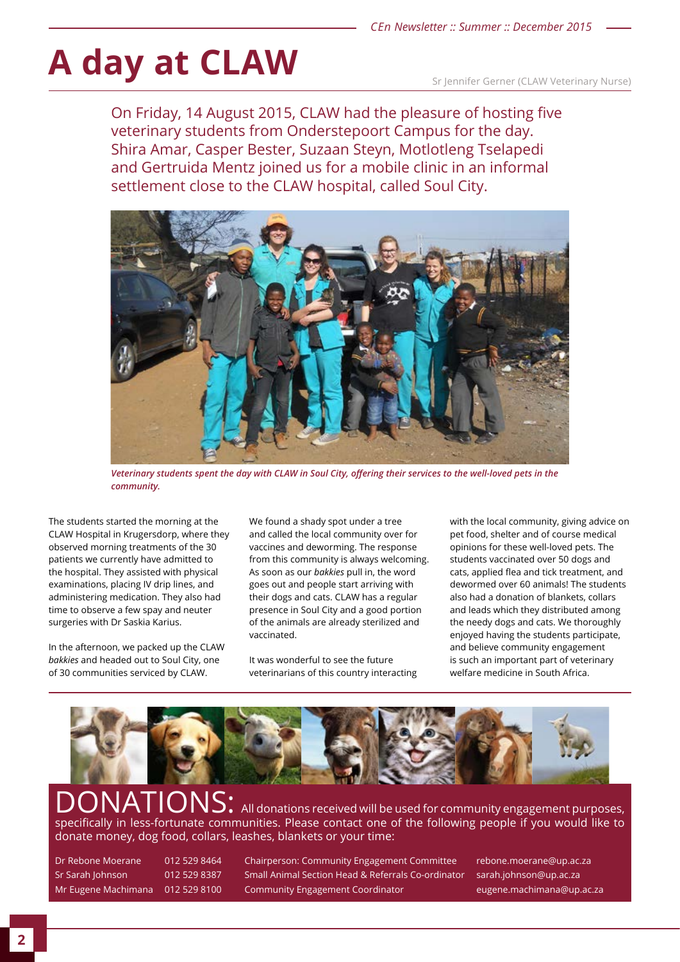# A day at CLAW Sr Jennifer Gerner (CLAW Veterinary Nurse)

On Friday, 14 August 2015, CLAW had the pleasure of hosting five veterinary students from Onderstepoort Campus for the day. Shira Amar, Casper Bester, Suzaan Steyn, Motlotleng Tselapedi and Gertruida Mentz joined us for a mobile clinic in an informal settlement close to the CLAW hospital, called Soul City.



*Veterinary students spent the day with CLAW in Soul City, offering their services to the well-loved pets in the community.*

The students started the morning at the CLAW Hospital in Krugersdorp, where they observed morning treatments of the 30 patients we currently have admitted to the hospital. They assisted with physical examinations, placing IV drip lines, and administering medication. They also had time to observe a few spay and neuter surgeries with Dr Saskia Karius.

In the afternoon, we packed up the CLAW *bakkies* and headed out to Soul City, one of 30 communities serviced by CLAW.

We found a shady spot under a tree and called the local community over for vaccines and deworming. The response from this community is always welcoming. As soon as our *bakkies* pull in, the word goes out and people start arriving with their dogs and cats. CLAW has a regular presence in Soul City and a good portion of the animals are already sterilized and vaccinated.

It was wonderful to see the future veterinarians of this country interacting with the local community, giving advice on pet food, shelter and of course medical opinions for these well-loved pets. The students vaccinated over 50 dogs and cats, applied flea and tick treatment, and dewormed over 60 animals! The students also had a donation of blankets, collars and leads which they distributed among the needy dogs and cats. We thoroughly enjoyed having the students participate, and believe community engagement is such an important part of veterinary welfare medicine in South Africa.



ONS: All donations received will be used for community engagement purposes, specifically in less-fortunate communities. Please contact one of the following people if you would like to donate money, dog food, collars, leashes, blankets or your time:

Dr Rebone Moerane 012 529 8464 Chairperson: Community Engagement Committee rebone.moerane@up.ac.za Sr Sarah Johnson 012 529 8387 Small Animal Section Head & Referrals Co-ordinator sarah.johnson@up.ac.za Mr Eugene Machimana 012 529 8100 Community Engagement Coordinator Electronic eugene.machimana@up.ac.za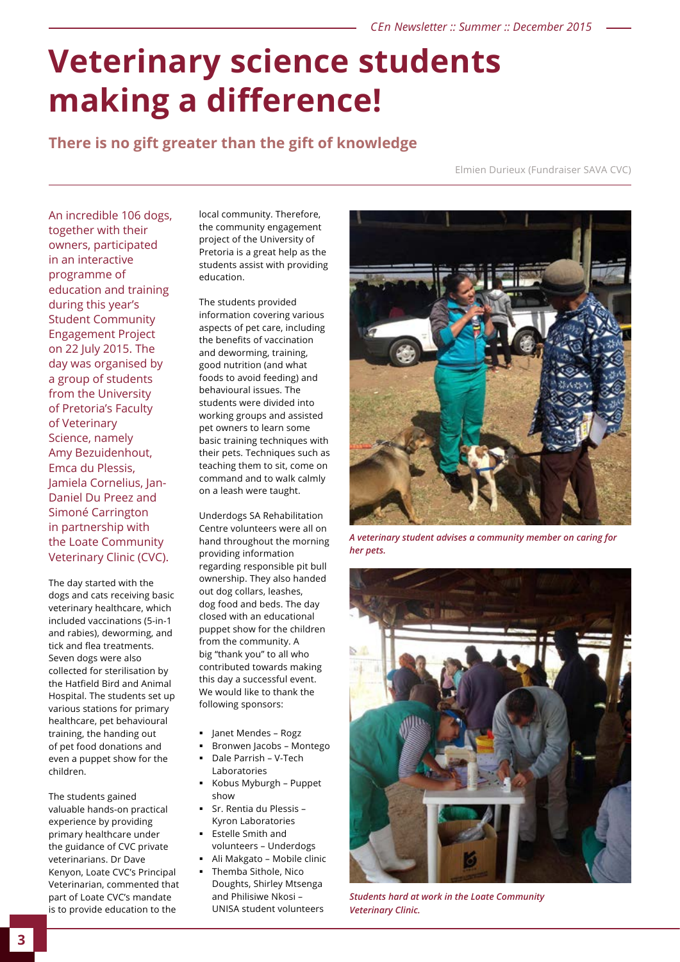## **Veterinary science students making a difference!**

### **There is no gift greater than the gift of knowledge**

Elmien Durieux (Fundraiser SAVA CVC)

An incredible 106 dogs, together with their owners, participated in an interactive programme of education and training during this year's Student Community Engagement Project on 22 July 2015. The day was organised by a group of students from the University of Pretoria's Faculty of Veterinary Science, namely Amy Bezuidenhout, Emca du Plessis, Jamiela Cornelius, Jan-Daniel Du Preez and Simoné Carrington in partnership with the Loate Community Veterinary Clinic (CVC).

The day started with the dogs and cats receiving basic veterinary healthcare, which included vaccinations (5-in-1 and rabies), deworming, and tick and flea treatments. Seven dogs were also collected for sterilisation by the Hatfield Bird and Animal Hospital. The students set up various stations for primary healthcare, pet behavioural training, the handing out of pet food donations and even a puppet show for the children.

The students gained valuable hands-on practical experience by providing primary healthcare under the guidance of CVC private veterinarians. Dr Dave Kenyon, Loate CVC's Principal Veterinarian, commented that part of Loate CVC's mandate is to provide education to the

local community. Therefore, the community engagement project of the University of Pretoria is a great help as the students assist with providing education.

The students provided information covering various aspects of pet care, including the benefits of vaccination and deworming, training, good nutrition (and what foods to avoid feeding) and behavioural issues. The students were divided into working groups and assisted pet owners to learn some basic training techniques with their pets. Techniques such as teaching them to sit, come on command and to walk calmly on a leash were taught.

Underdogs SA Rehabilitation Centre volunteers were all on hand throughout the morning providing information regarding responsible pit bull ownership. They also handed out dog collars, leashes, dog food and beds. The day closed with an educational puppet show for the children from the community. A big "thank you" to all who contributed towards making this day a successful event. We would like to thank the following sponsors:

- Janet Mendes Rogz
- Bronwen Jacobs Montego
- Dale Parrish V-Tech Laboratories
- Kobus Myburgh Puppet show
- Sr. Rentia du Plessis Kyron Laboratories
- Estelle Smith and volunteers – Underdogs
- Ali Makgato Mobile clinic
- Themba Sithole, Nico Doughts, Shirley Mtsenga and Philisiwe Nkosi – UNISA student volunteers



*A veterinary student advises a community member on caring for her pets.*



*Students hard at work in the Loate Community Veterinary Clinic.*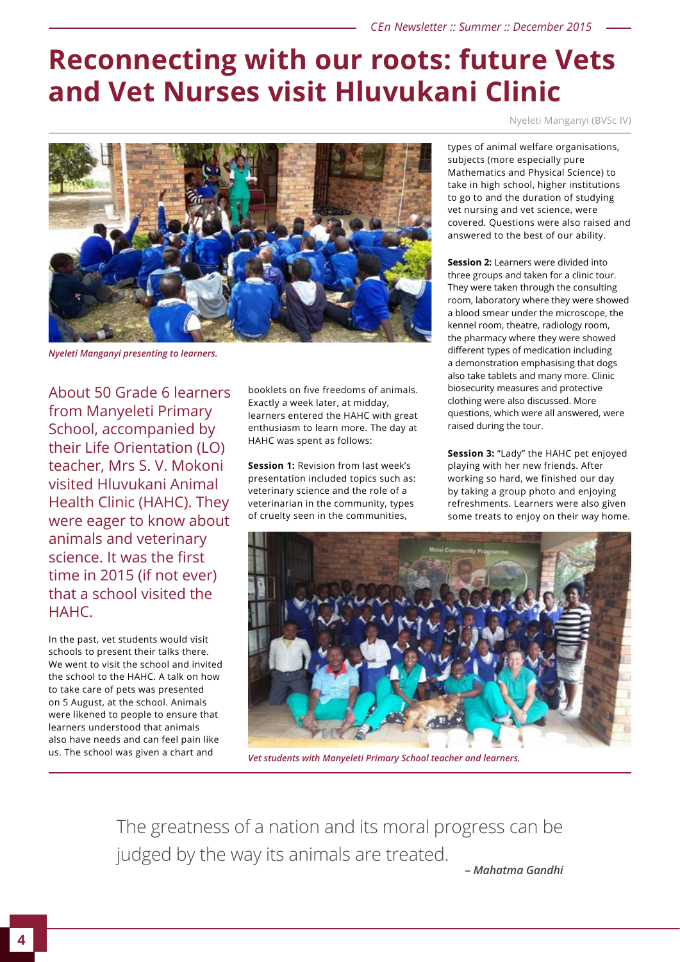### **Reconnecting with our roots: future Vets and Vet Nurses visit Hluvukani Clinic**

Nyeleti Manganyi (BVSc IV)



*Nyeleti Manganyi presenting to learners.*

About 50 Grade 6 learners from Manyeleti Primary School, accompanied by their Life Orientation (LO) teacher, Mrs S. V. Mokoni visited Hluvukani Animal Health Clinic (HAHC). They were eager to know about animals and veterinary science. It was the first time in 2015 (if not ever) that a school visited the HAHC.

In the past, vet students would visit schools to present their talks there. We went to visit the school and invited the school to the HAHC. A talk on how to take care of pets was presented on 5 August, at the school. Animals were likened to people to ensure that learners understood that animals also have needs and can feel pain like us. The school was given a chart and

booklets on five freedoms of animals. Exactly a week later, at midday, learners entered the HAHC with great enthusiasm to learn more. The day at HAHC was spent as follows:

**Session 1:** Revision from last week's presentation included topics such as: veterinary science and the role of a veterinarian in the community, types of cruelty seen in the communities,

types of animal welfare organisations, subjects (more especially pure Mathematics and Physical Science) to take in high school, higher institutions to go to and the duration of studying vet nursing and vet science, were covered. Questions were also raised and answered to the best of our ability.

**Session 2:** Learners were divided into three groups and taken for a clinic tour. They were taken through the consulting room, laboratory where they were showed a blood smear under the microscope, the kennel room, theatre, radiology room, the pharmacy where they were showed different types of medication including a demonstration emphasising that dogs also take tablets and many more. Clinic biosecurity measures and protective clothing were also discussed. More questions, which were all answered, were raised during the tour.

**Session 3:** "Lady" the HAHC pet enjoyed playing with her new friends. After working so hard, we finished our day by taking a group photo and enjoying refreshments. Learners were also given some treats to enjoy on their way home.



*Vet students with Manyeleti Primary School teacher and learners.*

The greatness of a nation and its moral progress can be judged by the way its animals are treated.

*– Mahatma Gandhi*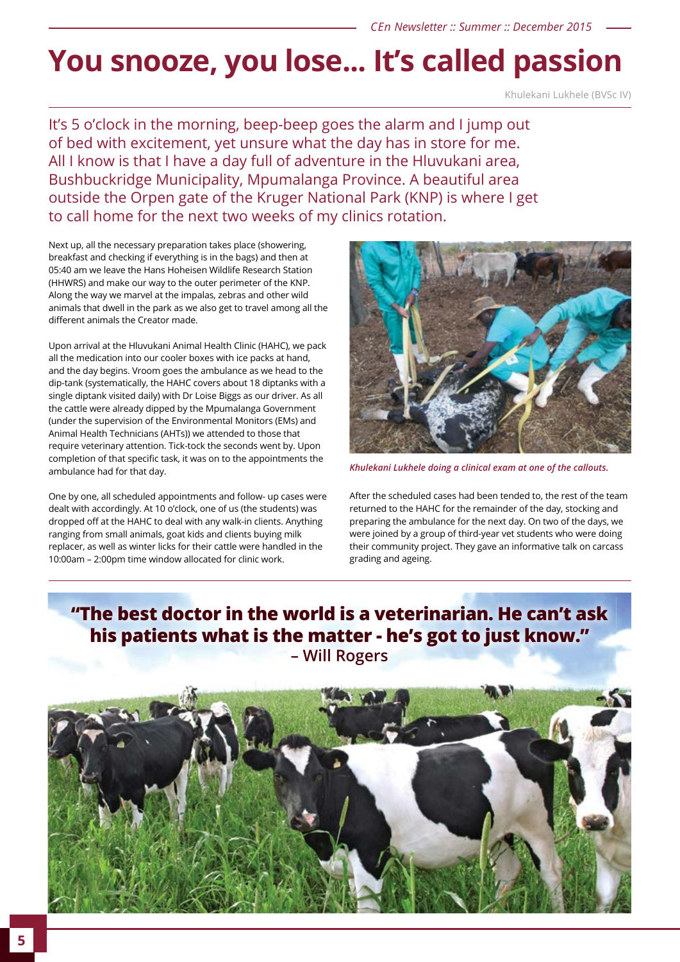## **You snooze, you lose... It's called passion**

Khulekani Lukhele (BVSc IV)

It's 5 o'clock in the morning, beep-beep goes the alarm and I jump out of bed with excitement, yet unsure what the day has in store for me. All I know is that I have a day full of adventure in the Hluvukani area, Bushbuckridge Municipality, Mpumalanga Province. A beautiful area outside the Orpen gate of the Kruger National Park (KNP) is where I get to call home for the next two weeks of my clinics rotation.

Next up, all the necessary preparation takes place (showering, breakfast and checking if everything is in the bags) and then at 05:40 am we leave the Hans Hoheisen Wildlife Research Station (HHWRS) and make our way to the outer perimeter of the KNP. Along the way we marvel at the impalas, zebras and other wild animals that dwell in the park as we also get to travel among all the different animals the Creator made.

Upon arrival at the Hluvukani Animal Health Clinic (HAHC), we pack all the medication into our cooler boxes with ice packs at hand, and the day begins. Vroom goes the ambulance as we head to the dip-tank (systematically, the HAHC covers about 18 diptanks with a single diptank visited daily) with Dr Loise Biggs as our driver. As all the cattle were already dipped by the Mpumalanga Government (under the supervision of the Environmental Monitors (EMs) and Animal Health Technicians (AHTs)) we attended to those that require veterinary attention. Tick-tock the seconds went by. Upon completion of that specific task, it was on to the appointments the ambulance had for that day.

One by one, all scheduled appointments and follow- up cases were dealt with accordingly. At 10 o'clock, one of us (the students) was dropped off at the HAHC to deal with any walk-in clients. Anything ranging from small animals, goat kids and clients buying milk replacer, as well as winter licks for their cattle were handled in the 10:00am – 2:00pm time window allocated for clinic work.



*Khulekani Lukhele doing a clinical exam at one of the callouts.*

After the scheduled cases had been tended to, the rest of the team returned to the HAHC for the remainder of the day, stocking and preparing the ambulance for the next day. On two of the days, we were joined by a group of third-year vet students who were doing their community project. They gave an informative talk on carcass grading and ageing.

### **"The best doctor in the world is a veterinarian. He can't ask his patients what is the matter - he's got to just know." – Will Rogers**